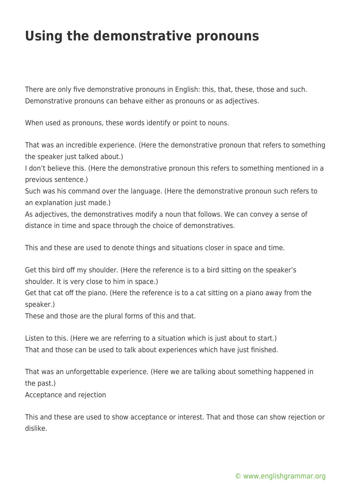## **Using the demonstrative pronouns**

There are only five demonstrative pronouns in English: this, that, these, those and such. Demonstrative pronouns can behave either as pronouns or as adjectives.

When used as pronouns, these words identify or point to nouns.

That was an incredible experience. (Here the demonstrative pronoun that refers to something the speaker just talked about.)

I don't believe this. (Here the demonstrative pronoun this refers to something mentioned in a previous sentence.)

Such was his command over the language. (Here the demonstrative pronoun such refers to an explanation just made.)

As adjectives, the demonstratives modify a noun that follows. We can convey a sense of distance in time and space through the choice of demonstratives.

This and these are used to denote things and situations closer in space and time.

Get this bird off my shoulder. (Here the reference is to a bird sitting on the speaker's shoulder. It is very close to him in space.)

Get that cat off the piano. (Here the reference is to a cat sitting on a piano away from the speaker.)

These and those are the plural forms of this and that.

Listen to this. (Here we are referring to a situation which is just about to start.) That and those can be used to talk about experiences which have just finished.

That was an unforgettable experience. (Here we are talking about something happened in the past.)

Acceptance and rejection

This and these are used to show acceptance or interest. That and those can show rejection or dislike.